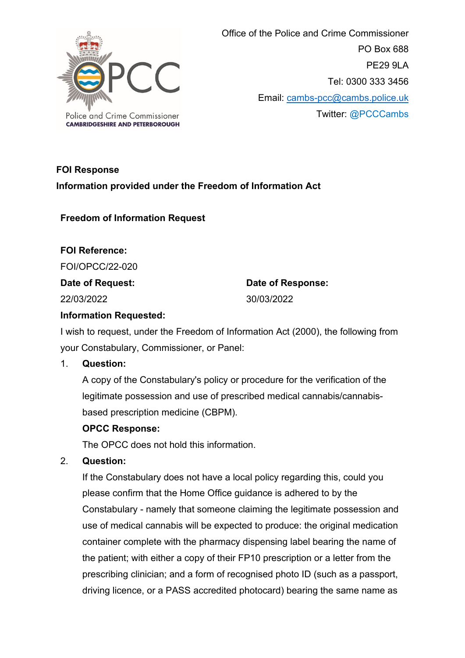

 Office of the Police and Crime Commissioner PO Box 688 PE29 9LA Tel: 0300 333 3456 Email: [cambs-pcc@cambs.police.uk](mailto:cambs-pcc@cambs.police.uk) Twitter: @PCCCambs

# **FOI Response Information provided under the Freedom of Information Act**

**Freedom of Information Request**

**FOI Reference:** FOI/OPCC/22-020

**Date of Request:**

22/03/2022

**Date of Response:** 30/03/2022

## **Information Requested:**

I wish to request, under the Freedom of Information Act (2000), the following from your Constabulary, Commissioner, or Panel:

## 1. **Question:**

A copy of the Constabulary's policy or procedure for the verification of the legitimate possession and use of prescribed medical cannabis/cannabisbased prescription medicine (CBPM).

## **OPCC Response:**

The OPCC does not hold this information.

## 2. **Question:**

If the Constabulary does not have a local policy regarding this, could you please confirm that the Home Office guidance is adhered to by the Constabulary - namely that someone claiming the legitimate possession and use of medical cannabis will be expected to produce: the original medication container complete with the pharmacy dispensing label bearing the name of the patient; with either a copy of their FP10 prescription or a letter from the prescribing clinician; and a form of recognised photo ID (such as a passport, driving licence, or a PASS accredited photocard) bearing the same name as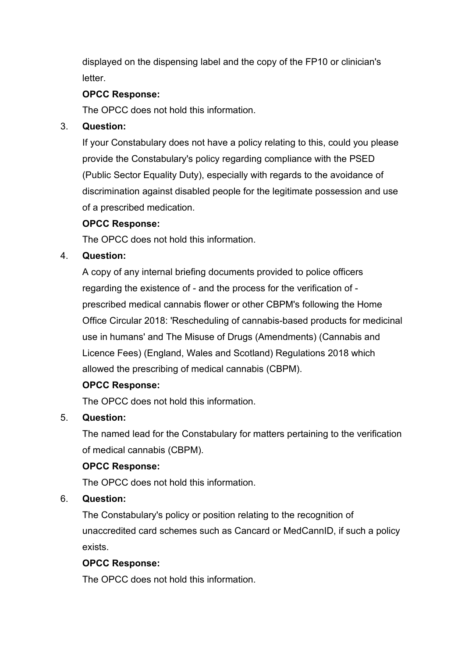displayed on the dispensing label and the copy of the FP10 or clinician's letter.

## **OPCC Response:**

The OPCC does not hold this information.

## 3. **Question:**

If your Constabulary does not have a policy relating to this, could you please provide the Constabulary's policy regarding compliance with the PSED (Public Sector Equality Duty), especially with regards to the avoidance of discrimination against disabled people for the legitimate possession and use of a prescribed medication.

# **OPCC Response:**

The OPCC does not hold this information.

## 4. **Question:**

A copy of any internal briefing documents provided to police officers regarding the existence of - and the process for the verification of prescribed medical cannabis flower or other CBPM's following the Home Office Circular 2018: 'Rescheduling of cannabis-based products for medicinal use in humans' and The Misuse of Drugs (Amendments) (Cannabis and Licence Fees) (England, Wales and Scotland) Regulations 2018 which allowed the prescribing of medical cannabis (CBPM).

## **OPCC Response:**

The OPCC does not hold this information.

# 5. **Question:**

The named lead for the Constabulary for matters pertaining to the verification of medical cannabis (CBPM).

## **OPCC Response:**

The OPCC does not hold this information.

## 6. **Question:**

The Constabulary's policy or position relating to the recognition of unaccredited card schemes such as Cancard or MedCannID, if such a policy exists.

## **OPCC Response:**

The OPCC does not hold this information.